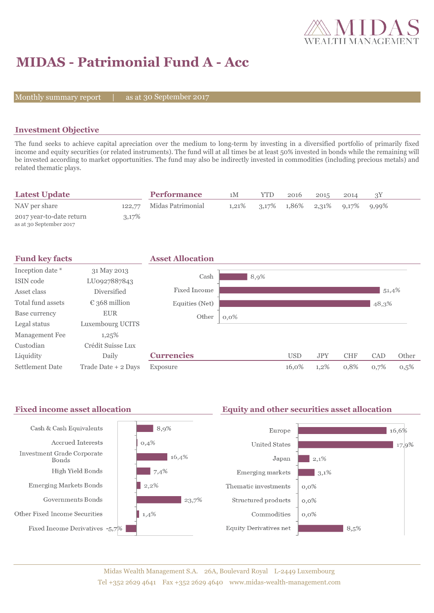

# **MIDAS - Patrimonial Fund A - Acc**

Monthly summary report  $|$ 

as at 30 September 2017

### **Investment Objective**

The fund seeks to achieve capital apreciation over the medium to long-term by investing in a diversified portfolio of primarily fixed income and equity securities (or related instruments). The fund will at all times be at least 50% invested in bonds while the remaining will be invested according to market opportunities. The fund may also be indirectly invested in commodities (including precious metals) and related thematic plays.

| <b>Latest Update</b>                                |       | <b>Performance</b>       | 1M       | <b>YTD</b> | 2016                                | 2015 | 2014 |       |  |
|-----------------------------------------------------|-------|--------------------------|----------|------------|-------------------------------------|------|------|-------|--|
| NAV per share                                       |       | 122.77 Midas Patrimonial | $1.21\%$ |            | $3,17\%$ $1,86\%$ $2,31\%$ $9,17\%$ |      |      | 9,99% |  |
| 2017 year-to-date return<br>as at 30 September 2017 | 3,17% |                          |          |            |                                     |      |      |       |  |

| <b>Fund key facts</b>  |                        | <b>Asset Allocation</b> |         |            |            |            |       |       |
|------------------------|------------------------|-------------------------|---------|------------|------------|------------|-------|-------|
| Inception date *       | 31 May 2013            | Cash                    |         |            |            |            |       |       |
| ISIN code              | LU0927887843           |                         | 8,9%    |            |            |            |       |       |
| Asset class            | <b>Diversified</b>     | Fixed Income            |         |            |            |            | 51,4% |       |
| Total fund assets      | $\epsilon$ 368 million | Equities (Net)          |         |            |            |            | 48,3% |       |
| Base currency          | <b>EUR</b>             | Other                   | $0,0\%$ |            |            |            |       |       |
| Legal status           | Luxembourg UCITS       |                         |         |            |            |            |       |       |
| Management Fee         | 1,25%                  |                         |         |            |            |            |       |       |
| Custodian              | Crédit Suisse Lux      |                         |         |            |            |            |       |       |
| Liquidity              | Daily                  | <b>Currencies</b>       |         | <b>USD</b> | <b>JPY</b> | <b>CHF</b> | CAD   | Other |
| <b>Settlement Date</b> | Trade Date + 2 Days    | Exposure                |         | 16,0%      | 1,2%       | 0,8%       | 0,7%  | 0,5%  |

#### Fixed income asset allocation **Equity and other securities asset allocation**  $8,9%$ Cash & Cash Equivalents Europe 16,6% Accrued Interests  $0,4%$ **United States** 17,9% **Investment Grade Corporate**  $16,4%$  $|2,1\%$ Japan Bonds High Yield Bonds  $7,4%$ Emerging markets  $3,1\%$ Emerging Markets Bonds  $|2,2%$ Thematic investments  $0,0\%$ Governments Bonds  $\frac{1}{23,7\%}$ Structured products  $0,0\%$ Other Fixed Income Securities  $1,4%$ Commodities  $0,0\%$ Fixed Income Derivatives  $\,$  -5,7%  $\,$ **Equity Derivatives net**  $8,5%$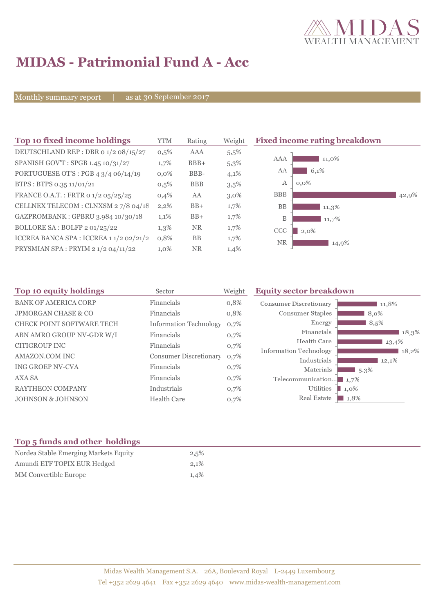

# **MIDAS - Patrimonial Fund A - Acc**

Monthly summary report | as at 30 September 2017

| Top 10 fixed income holdings            | YTM     | Rating     | Weight  | <b>Fixed income rating breakdown</b> |
|-----------------------------------------|---------|------------|---------|--------------------------------------|
| DEUTSCHLAND REP : DBR 0 1/2 08/15/27    | $0,5\%$ | AAA        | 5,5%    |                                      |
| SPANISH GOV'T: SPGB 1.45 10/31/27       | $1,7\%$ | $BBB+$     | 5,3%    | AAA<br>11,0%                         |
| PORTUGUESE OT'S : PGB $43/406/14/19$    | $0.0\%$ | BBB-       | 4,1%    | AA<br>6,1%                           |
| BTPS: BTPS 0.35 11/01/21                | $0,5\%$ | <b>BBB</b> | 3,5%    | $\mathbf{A}$<br>$0,0\%$              |
| FRANCE O.A.T.: FRTR 0 1/2 05/25/25      | 0,4%    | AA         | $3,0\%$ | <b>BBB</b><br>42,9%                  |
| CELLNEX TELECOM : CLNXSM 27/8 04/18     | $2,2\%$ | $BB+$      | $1,7\%$ | <b>BB</b><br>$11,3\%$                |
| GAZPROMBANK: GPBRU 3.984 10/30/18       | 1,1%    | $BB+$      | 1,7%    | B<br>11,7%                           |
| BOLLORE SA: BOLFP 2 01/25/22            | $1,3\%$ | <b>NR</b>  | $1,7\%$ | CCC<br>$2,0\%$                       |
| ICCREA BANCA SPA : ICCREA 1 1/2 02/21/2 | 0,8%    | BB         | $1,7\%$ | <b>NR</b><br>14,9%                   |
| PRYSMIAN SPA: PRYIM 21/204/11/22        | $1,0\%$ | <b>NR</b>  | 1,4%    |                                      |

| Top 10 equity holdings           | Sector                        | Weight | <b>Equity sector breakdown</b>        |                     |
|----------------------------------|-------------------------------|--------|---------------------------------------|---------------------|
| <b>BANK OF AMERICA CORP</b>      | Financials                    | 0,8%   | Consumer Discretionary                | 11,8%               |
| <b>JPMORGAN CHASE &amp; CO</b>   | Financials                    | 0,8%   | Consumer Staples                      | 8,0%                |
| <b>CHECK POINT SOFTWARE TECH</b> | <b>Information Technology</b> | 0,7%   | Energy                                | 8,5%                |
| ABN AMRO GROUP NV-GDR W/I        | Financials                    | 0,7%   | Financials                            | 18,3%               |
| <b>CITIGROUP INC</b>             | Financials                    | 0,7%   | Health Care                           | $13,4\%$            |
| AMAZON.COM INC                   | <b>Consumer Discretionary</b> | 0,7%   | Information Technology<br>Industrials | 18,2%<br>12,1%      |
| <b>ING GROEP NV-CVA</b>          | Financials                    | 0,7%   | Materials                             | $1,5,3\%$           |
| <b>AXA SA</b>                    | Financials                    | 0,7%   | Telecommunication $\blacksquare$ 1,7% |                     |
| <b>RAYTHEON COMPANY</b>          | Industrials                   | 0,7%   | Utilities                             | $1,0\%$             |
| <b>JOHNSON &amp; JOHNSON</b>     | <b>Health Care</b>            | 0,7%   | Real Estate                           | $\blacksquare$ 1,8% |

## **Top 5 funds and other holdings**

| Nordea Stable Emerging Markets Equity | 2,5% |
|---------------------------------------|------|
| Amundi ETF TOPIX EUR Hedged           | 2.1% |
| <b>MM</b> Convertible Europe          | 1,4% |